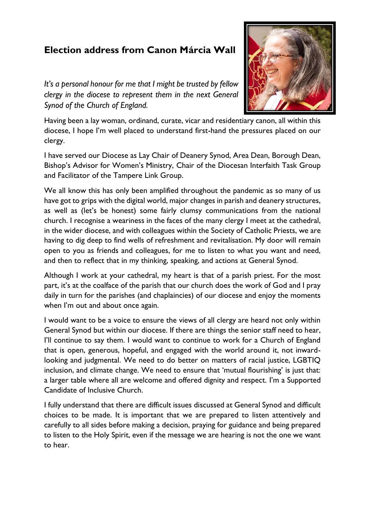## **Election address from Canon Márcia Wall**

*It's a personal honour for me that I might be trusted by fellow clergy in the diocese to represent them in the next General Synod of the Church of England.*



Having been a lay woman, ordinand, curate, vicar and residentiary canon, all within this diocese, I hope I'm well placed to understand first-hand the pressures placed on our clergy.

I have served our Diocese as Lay Chair of Deanery Synod, Area Dean, Borough Dean, Bishop's Advisor for Women's Ministry, Chair of the Diocesan Interfaith Task Group and Facilitator of the Tampere Link Group.

We all know this has only been amplified throughout the pandemic as so many of us have got to grips with the digital world, major changes in parish and deanery structures, as well as (let's be honest) some fairly clumsy communications from the national church. I recognise a weariness in the faces of the many clergy I meet at the cathedral, in the wider diocese, and with colleagues within the Society of Catholic Priests, we are having to dig deep to find wells of refreshment and revitalisation. My door will remain open to you as friends and colleagues, for me to listen to what you want and need, and then to reflect that in my thinking, speaking, and actions at General Synod.

Although I work at your cathedral, my heart is that of a parish priest. For the most part, it's at the coalface of the parish that our church does the work of God and I pray daily in turn for the parishes (and chaplaincies) of our diocese and enjoy the moments when I'm out and about once again.

I would want to be a voice to ensure the views of all clergy are heard not only within General Synod but within our diocese. If there are things the senior staff need to hear, I'll continue to say them. I would want to continue to work for a Church of England that is open, generous, hopeful, and engaged with the world around it, not inwardlooking and judgmental. We need to do better on matters of racial justice, LGBTIQ inclusion, and climate change. We need to ensure that 'mutual flourishing' is just that: a larger table where all are welcome and offered dignity and respect. I'm a Supported Candidate of Inclusive Church.

I fully understand that there are difficult issues discussed at General Synod and difficult choices to be made. It is important that we are prepared to listen attentively and carefully to all sides before making a decision, praying for guidance and being prepared to listen to the Holy Spirit, even if the message we are hearing is not the one we want to hear.